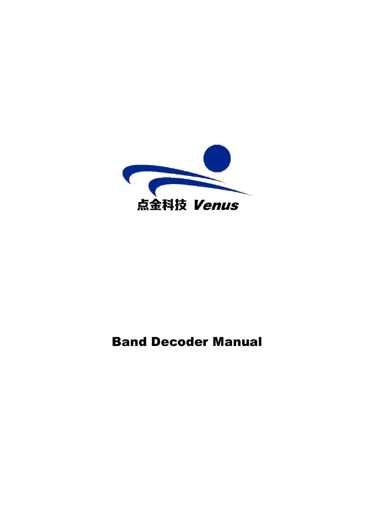

# Band Decoder Manual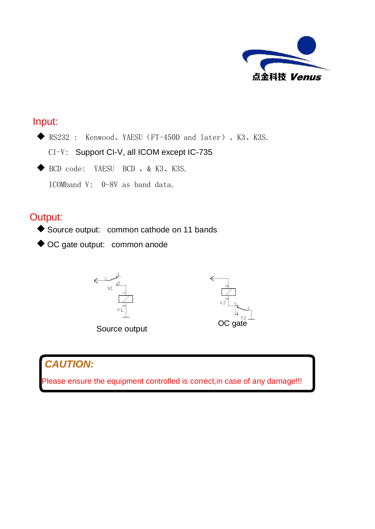

## Input:

◆ RS232 : Kenwood、YAESU (FT-450D and later)、K3、K3S.

CI-V: Support CI-V, all ICOM except IC-735

BCD code: YAESU BCD ,& K3、K3S.

ICOMband V: 0-8V as band data.

## Output:

- ◆ Source output: common cathode on 11 bands
- ◆ OC gate output: common anode







## *CAUTION:*

Please ensure the equipment controlled is correct, in case of any damage!!!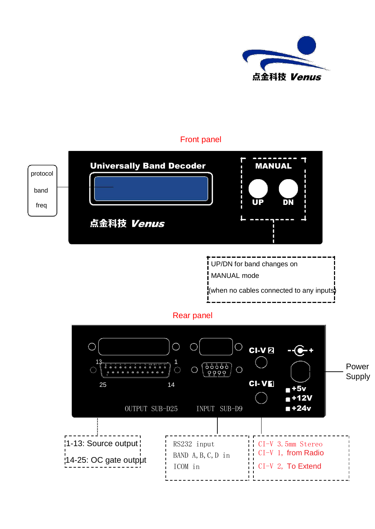

#### Front panel

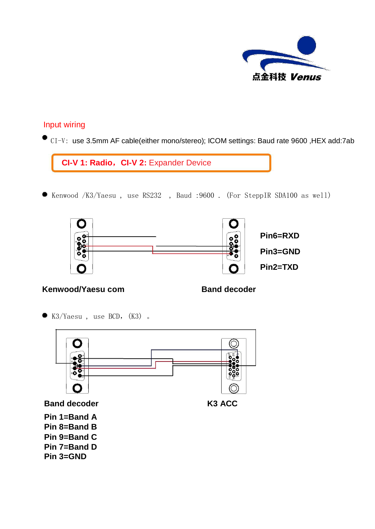

#### Input wiring

● CI-V: use 3.5mm AF cable(either mono/stereo); ICOM settings: Baud rate 9600, HEX add:7ab

Kenwood /K3/Yaesu , use RS232 , Baud :9600 . (For SteppIR SDA100 as well)



#### **Kenwood/Yaesu com Band decoder**

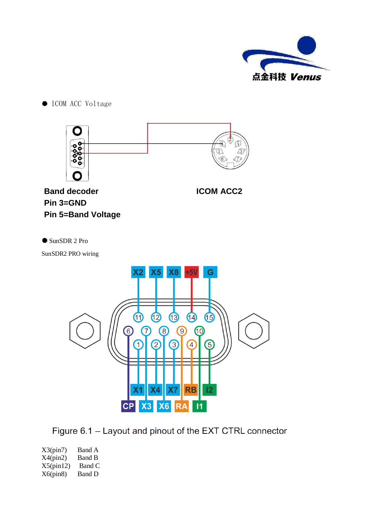

 $\bullet$  ICOM ACC Voltage



Figure 6.1 - Layout and pinout of the EXT CTRL connector

 $X3(pin7)$  Band A<br> $X4(pin2)$  Band B  $X4(pin2)$  $X5(pin12)$  Band C  $X6(pin8)$  Band D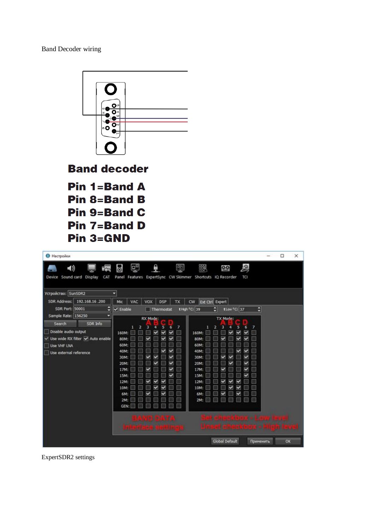Band Decoder wiring



ExpertSDR2 settings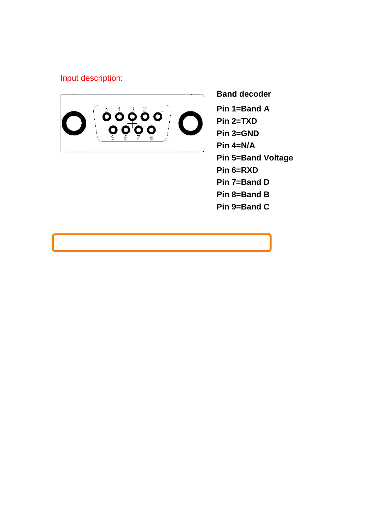### Input description:



**Band decoder Pin 1=Band A Pin 2=TXD Pin 3=GND Pin 4=N/A Pin 5=Band Voltage Pin 6=RXD Pin 7=Band D Pin 8=Band B Pin 9=Band C**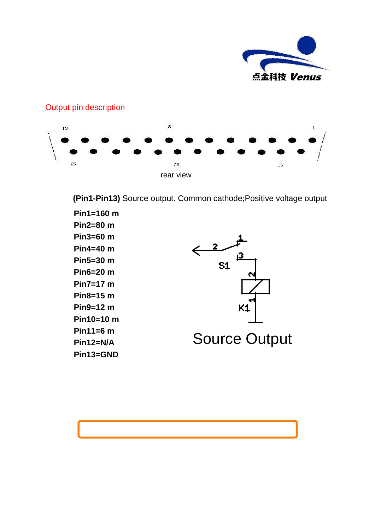

#### $^{\rm 8}$ 13 25  $\overline{20}$  $15$ rear view

Output pin description

**(Pin1-Pin13)** Source output. Common cathode;Positive voltage output